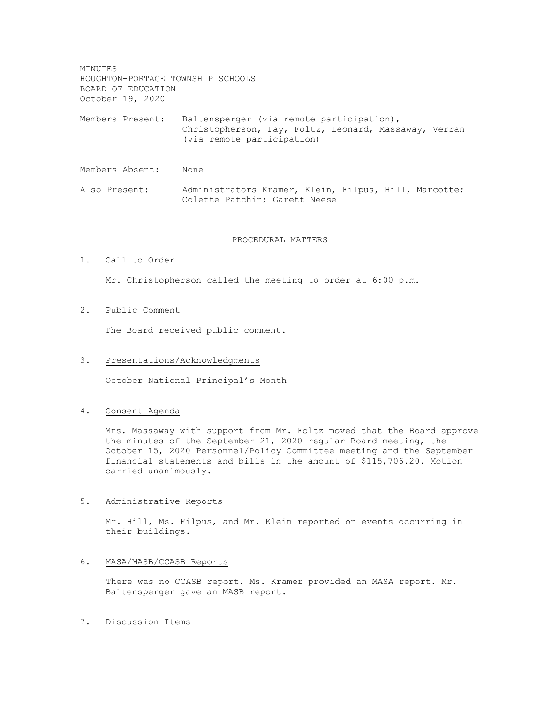MINUTES HOUGHTON-PORTAGE TOWNSHIP SCHOOLS BOARD OF EDUCATION October 19, 2020

Members Present: Baltensperger (via remote participation), Christopherson, Fay, Foltz, Leonard, Massaway, Verran (via remote participation)

Members Absent: None

Also Present: Administrators Kramer, Klein, Filpus, Hill, Marcotte; Colette Patchin; Garett Neese

#### PROCEDURAL MATTERS

## 1. Call to Order

Mr. Christopherson called the meeting to order at 6:00 p.m.

# 2. Public Comment

The Board received public comment.

### 3. Presentations/Acknowledgments

October National Principal's Month

## 4. Consent Agenda

Mrs. Massaway with support from Mr. Foltz moved that the Board approve the minutes of the September 21, 2020 regular Board meeting, the October 15, 2020 Personnel/Policy Committee meeting and the September financial statements and bills in the amount of \$115,706.20. Motion carried unanimously.

#### 5. Administrative Reports

Mr. Hill, Ms. Filpus, and Mr. Klein reported on events occurring in their buildings.

## 6. MASA/MASB/CCASB Reports

There was no CCASB report. Ms. Kramer provided an MASA report. Mr. Baltensperger gave an MASB report.

# 7. Discussion Items